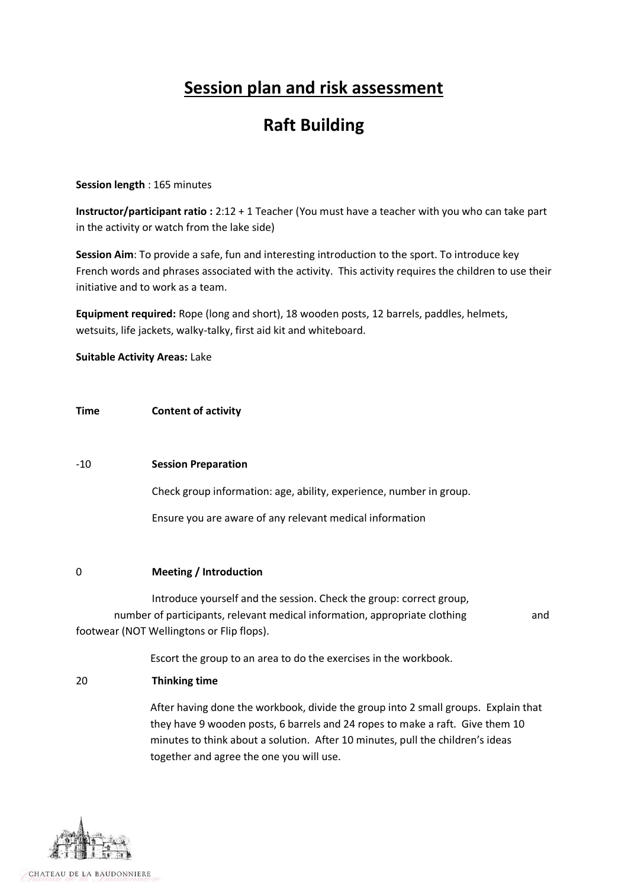# **Session plan and risk assessment**

# **Raft Building**

## **Session length** : 165 minutes

**Instructor/participant ratio :** 2:12 + 1 Teacher (You must have a teacher with you who can take part in the activity or watch from the lake side)

**Session Aim**: To provide a safe, fun and interesting introduction to the sport. To introduce key French words and phrases associated with the activity. This activity requires the children to use their initiative and to work as a team.

**Equipment required:** Rope (long and short), 18 wooden posts, 12 barrels, paddles, helmets, wetsuits, life jackets, walky-talky, first aid kit and whiteboard.

**Suitable Activity Areas:** Lake

# **Time Content of activity**

## -10 **Session Preparation**

Check group information: age, ability, experience, number in group.

Ensure you are aware of any relevant medical information

## 0 **Meeting / Introduction**

Introduce yourself and the session. Check the group: correct group, number of participants, relevant medical information, appropriate clothing and footwear (NOT Wellingtons or Flip flops).

Escort the group to an area to do the exercises in the workbook.

## 20 **Thinking time**

After having done the workbook, divide the group into 2 small groups. Explain that they have 9 wooden posts, 6 barrels and 24 ropes to make a raft. Give them 10 minutes to think about a solution. After 10 minutes, pull the children's ideas together and agree the one you will use.

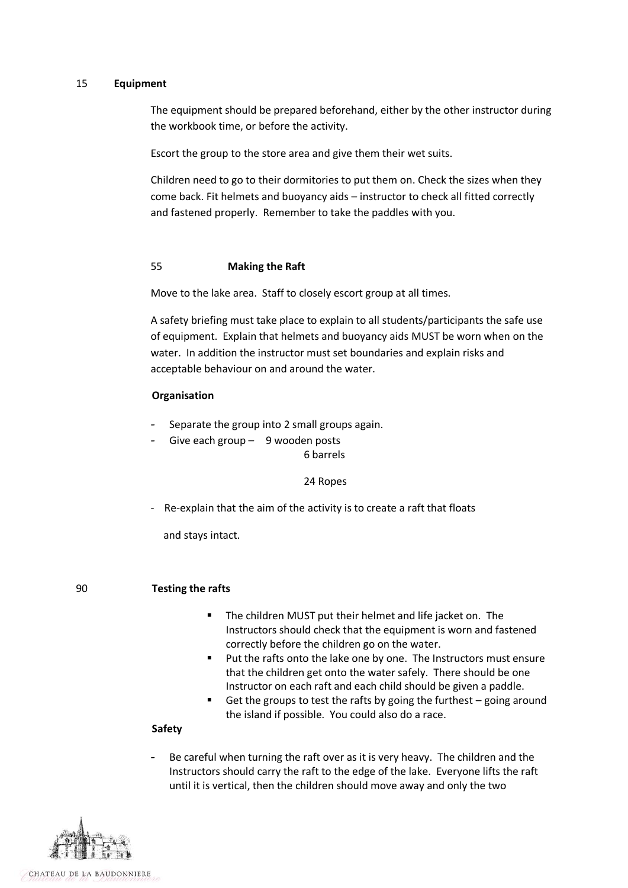#### 15 **Equipment**

The equipment should be prepared beforehand, either by the other instructor during the workbook time, or before the activity.

Escort the group to the store area and give them their wet suits.

Children need to go to their dormitories to put them on. Check the sizes when they come back. Fit helmets and buoyancy aids – instructor to check all fitted correctly and fastened properly. Remember to take the paddles with you.

#### 55 **Making the Raft**

Move to the lake area. Staff to closely escort group at all times.

A safety briefing must take place to explain to all students/participants the safe use of equipment. Explain that helmets and buoyancy aids MUST be worn when on the water. In addition the instructor must set boundaries and explain risks and acceptable behaviour on and around the water.

#### **Organisation**

- Separate the group into 2 small groups again.
- Give each group  $-$  9 wooden posts 6 barrels

#### 24 Ropes

Re-explain that the aim of the activity is to create a raft that floats

and stays intact.

#### 90 **Testing the rafts**

- The children MUST put their helmet and life jacket on. The Instructors should check that the equipment is worn and fastened correctly before the children go on the water.
- **Put the rafts onto the lake one by one. The Instructors must ensure** that the children get onto the water safely. There should be one Instructor on each raft and each child should be given a paddle.
- Get the groups to test the rafts by going the furthest  $-$  going around the island if possible. You could also do a race.

#### **Safety**

Be careful when turning the raft over as it is very heavy. The children and the Instructors should carry the raft to the edge of the lake. Everyone lifts the raft until it is vertical, then the children should move away and only the two



CHATEAU DE LA BAUDONNIERE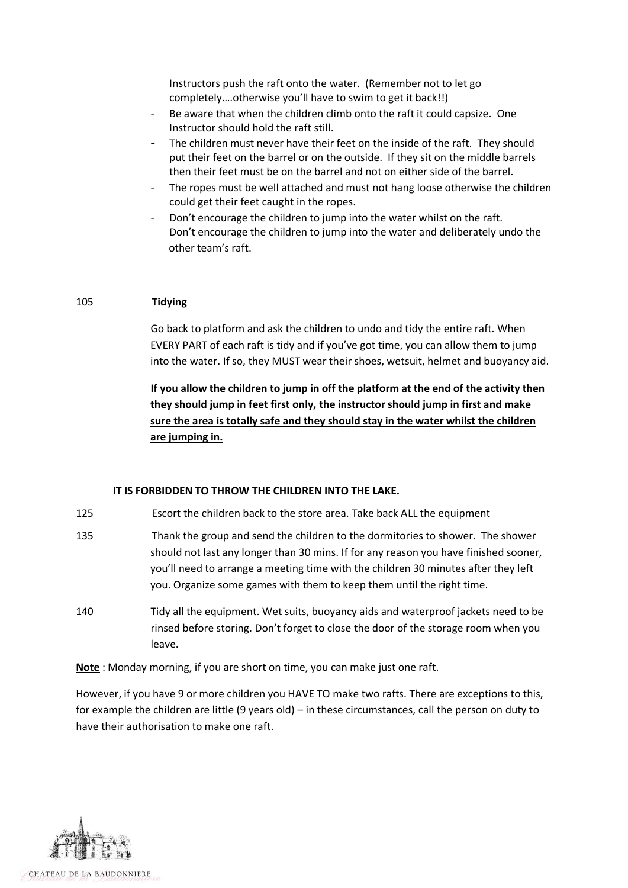Instructors push the raft onto the water. (Remember not to let go completely….otherwise you'll have to swim to get it back!!)

- Be aware that when the children climb onto the raft it could capsize. One Instructor should hold the raft still.
- The children must never have their feet on the inside of the raft. They should put their feet on the barrel or on the outside. If they sit on the middle barrels then their feet must be on the barrel and not on either side of the barrel.
- The ropes must be well attached and must not hang loose otherwise the children could get their feet caught in the ropes.
- Don't encourage the children to jump into the water whilst on the raft. Don't encourage the children to jump into the water and deliberately undo the other team's raft.

## 105 **Tidying**

Go back to platform and ask the children to undo and tidy the entire raft. When EVERY PART of each raft is tidy and if you've got time, you can allow them to jump into the water. If so, they MUST wear their shoes, wetsuit, helmet and buoyancy aid.

**If you allow the children to jump in off the platform at the end of the activity then they should jump in feet first only, the instructor should jump in first and make sure the area is totally safe and they should stay in the water whilst the children are jumping in.**

## **IT IS FORBIDDEN TO THROW THE CHILDREN INTO THE LAKE.**

- 125 Escort the children back to the store area. Take back ALL the equipment
- 135 Thank the group and send the children to the dormitories to shower. The shower should not last any longer than 30 mins. If for any reason you have finished sooner, you'll need to arrange a meeting time with the children 30 minutes after they left you. Organize some games with them to keep them until the right time.
- 140 Tidy all the equipment. Wet suits, buoyancy aids and waterproof jackets need to be rinsed before storing. Don't forget to close the door of the storage room when you leave.

**Note** : Monday morning, if you are short on time, you can make just one raft.

However, if you have 9 or more children you HAVE TO make two rafts. There are exceptions to this, for example the children are little (9 years old) – in these circumstances, call the person on duty to have their authorisation to make one raft.

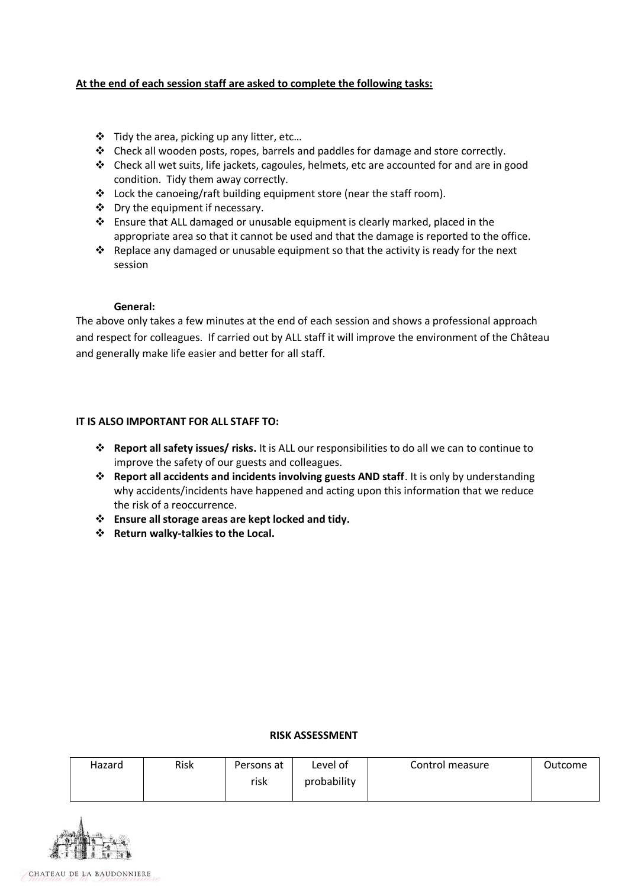# **At the end of each session staff are asked to complete the following tasks:**

- Tidy the area, picking up any litter, etc…
- $\div$  Check all wooden posts, ropes, barrels and paddles for damage and store correctly.
- $\div$  Check all wet suits, life jackets, cagoules, helmets, etc are accounted for and are in good condition. Tidy them away correctly.
- $\triangleleft$  Lock the canoeing/raft building equipment store (near the staff room).
- ❖ Dry the equipment if necessary.
- Ensure that ALL damaged or unusable equipment is clearly marked, placed in the appropriate area so that it cannot be used and that the damage is reported to the office.
- \* Replace any damaged or unusable equipment so that the activity is ready for the next session

#### **General:**

The above only takes a few minutes at the end of each session and shows a professional approach and respect for colleagues. If carried out by ALL staff it will improve the environment of the Château and generally make life easier and better for all staff.

# **IT IS ALSO IMPORTANT FOR ALL STAFF TO:**

- **Report all safety issues/ risks.** It is ALL our responsibilities to do all we can to continue to improve the safety of our guests and colleagues.
- **Report all accidents and incidents involving guests AND staff**. It is only by understanding why accidents/incidents have happened and acting upon this information that we reduce the risk of a reoccurrence.
- **Ensure all storage areas are kept locked and tidy.**
- **Return walky-talkies to the Local.**

# **RISK ASSESSMENT**

| Hazard | Risk | Persons at | Level of    | Control measure | Outcome |
|--------|------|------------|-------------|-----------------|---------|
|        |      | risk       | probability |                 |         |
|        |      |            |             |                 |         |

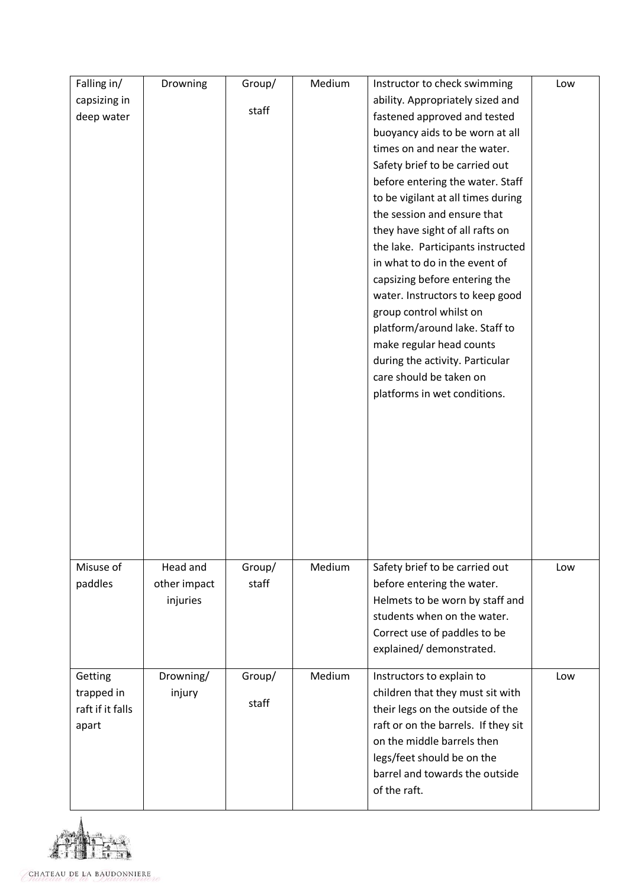| Falling in/      | Drowning     | Group/ | Medium | Instructor to check swimming        | Low |
|------------------|--------------|--------|--------|-------------------------------------|-----|
| capsizing in     |              |        |        | ability. Appropriately sized and    |     |
| deep water       |              | staff  |        | fastened approved and tested        |     |
|                  |              |        |        | buoyancy aids to be worn at all     |     |
|                  |              |        |        | times on and near the water.        |     |
|                  |              |        |        | Safety brief to be carried out      |     |
|                  |              |        |        | before entering the water. Staff    |     |
|                  |              |        |        | to be vigilant at all times during  |     |
|                  |              |        |        | the session and ensure that         |     |
|                  |              |        |        | they have sight of all rafts on     |     |
|                  |              |        |        | the lake. Participants instructed   |     |
|                  |              |        |        | in what to do in the event of       |     |
|                  |              |        |        | capsizing before entering the       |     |
|                  |              |        |        | water. Instructors to keep good     |     |
|                  |              |        |        | group control whilst on             |     |
|                  |              |        |        | platform/around lake. Staff to      |     |
|                  |              |        |        | make regular head counts            |     |
|                  |              |        |        | during the activity. Particular     |     |
|                  |              |        |        | care should be taken on             |     |
|                  |              |        |        | platforms in wet conditions.        |     |
|                  |              |        |        |                                     |     |
|                  |              |        |        |                                     |     |
|                  |              |        |        |                                     |     |
|                  |              |        |        |                                     |     |
|                  |              |        |        |                                     |     |
|                  |              |        |        |                                     |     |
|                  |              |        |        |                                     |     |
|                  |              |        |        |                                     |     |
|                  |              |        |        |                                     |     |
| Misuse of        | Head and     | Group/ | Medium | Safety brief to be carried out      | Low |
| paddles          | other impact | staff  |        | before entering the water.          |     |
|                  | injuries     |        |        | Helmets to be worn by staff and     |     |
|                  |              |        |        | students when on the water.         |     |
|                  |              |        |        | Correct use of paddles to be        |     |
|                  |              |        |        | explained/demonstrated.             |     |
|                  |              |        |        |                                     |     |
| Getting          | Drowning/    | Group/ | Medium | Instructors to explain to           | Low |
| trapped in       | injury       |        |        | children that they must sit with    |     |
| raft if it falls |              | staff  |        | their legs on the outside of the    |     |
| apart            |              |        |        | raft or on the barrels. If they sit |     |
|                  |              |        |        | on the middle barrels then          |     |
|                  |              |        |        | legs/feet should be on the          |     |
|                  |              |        |        | barrel and towards the outside      |     |
|                  |              |        |        | of the raft.                        |     |
|                  |              |        |        |                                     |     |